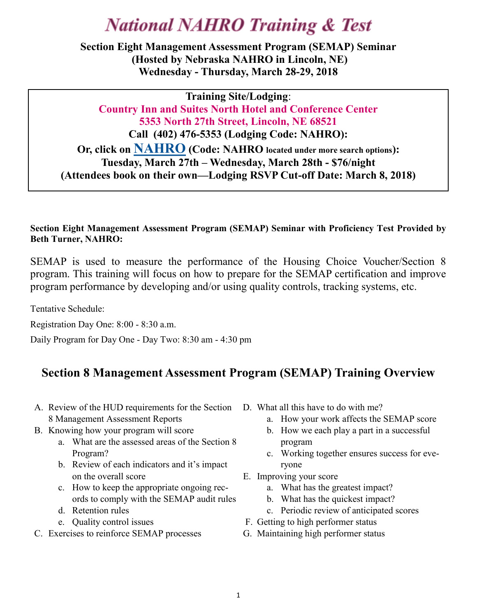# **National NAHRO Training & Test**

**Section Eight Management Assessment Program (SEMAP) Seminar (Hosted by Nebraska NAHRO in Lincoln, NE) Wednesday - Thursday, March 28-29, 2018**

**Training Site/Lodging**: **Country Inn and Suites North Hotel and Conference Center 5353 North 27th Street, Lincoln, NE 68521 Call (402) 476-5353 (Lodging Code: NAHRO): Or, click on [NAHRO](https://www.countryinns.com/lincoln-hotel-ne-68521/nelinco?s_cid=os.amer-us-cis-NELINCO-gmb) (Code: NAHRO located under more search options): Tuesday, March 27th – Wednesday, March 28th - \$76/night (Attendees book on their own—Lodging RSVP Cut-off Date: March 8, 2018)**

### **Section Eight Management Assessment Program (SEMAP) Seminar with Proficiency Test Provided by Beth Turner, NAHRO:**

SEMAP is used to measure the performance of the Housing Choice Voucher/Section 8 program. This training will focus on how to prepare for the SEMAP certification and improve program performance by developing and/or using quality controls, tracking systems, etc.

Tentative Schedule:

Registration Day One: 8:00 - 8:30 a.m.

Daily Program for Day One - Day Two: 8:30 am - 4:30 pm

### **Section 8 Management Assessment Program (SEMAP) Training Overview**

- A. Review of the HUD requirements for the Section 8 Management Assessment Reports
- B. Knowing how your program will score
	- a. What are the assessed areas of the Section 8 Program?
	- b. Review of each indicators and it's impact on the overall score
	- c. How to keep the appropriate ongoing records to comply with the SEMAP audit rules
	- d. Retention rules
	- e. Quality control issues
- C. Exercises to reinforce SEMAP processes
- D. What all this have to do with me?
	- a. How your work affects the SEMAP score
	- b. How we each play a part in a successful program
	- c. Working together ensures success for everyone
- E. Improving your score
	- a. What has the greatest impact?
	- b. What has the quickest impact?
	- c. Periodic review of anticipated scores
- F. Getting to high performer status
- G. Maintaining high performer status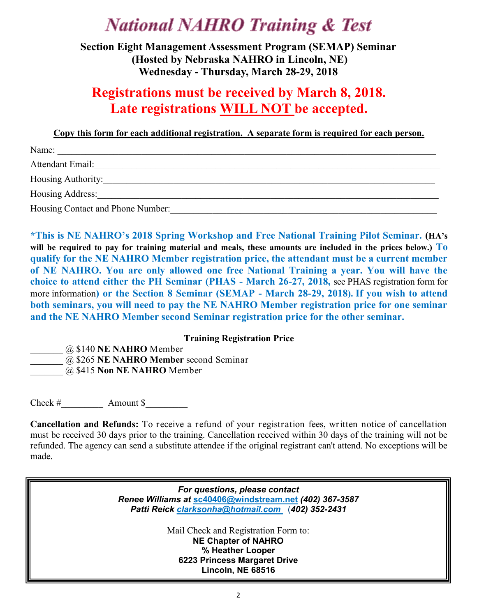## **National NAHRO Training & Test**

**Section Eight Management Assessment Program (SEMAP) Seminar (Hosted by Nebraska NAHRO in Lincoln, NE) Wednesday - Thursday, March 28-29, 2018**

## **Registrations must be received by March 8, 2018. Late registrations WILL NOT be accepted.**

**Copy this form for each additional registration. A separate form is required for each person.**

| Name:                             |  |
|-----------------------------------|--|
| Attendant Email:                  |  |
| Housing Authority:                |  |
| Housing Address:                  |  |
| Housing Contact and Phone Number: |  |

**\*This is NE NAHRO's 2018 Spring Workshop and Free National Training Pilot Seminar. (HA's will be required to pay for training material and meals, these amounts are included in the prices below.) To qualify for the NE NAHRO Member registration price, the attendant must be a current member of NE NAHRO. You are only allowed one free National Training a year. You will have the choice to attend either the PH Seminar (PHAS - March 26-27, 2018,** see PHAS registration form for more information**) or the Section 8 Seminar (SEMAP - March 28-29, 2018). If you wish to attend both seminars, you will need to pay the NE NAHRO Member registration price for one seminar and the NE NAHRO Member second Seminar registration price for the other seminar.** 

#### **Training Registration Price**

\_\_\_\_\_\_\_ @ \$140 **NE NAHRO** Member

\_\_\_\_\_\_\_ @ \$265 **NE NAHRO Member** second Seminar

\_\_\_\_\_\_\_ @ \$415 **Non NE NAHRO** Member

Check # Amount \$

**Cancellation and Refunds:** To receive a refund of your registration fees, written notice of cancellation must be received 30 days prior to the training. Cancellation received within 30 days of the training will not be refunded. The agency can send a substitute attendee if the original registrant can't attend. No exceptions will be made.

> *For questions, please contact Renee Williams at* **[sc40406@windstream.net](mailto:sc40406@windstream.net)** *(402) 367-3587 Patti Reick clarksonha@hotmail.com* (*402) 352-2431*

> > Mail Check and Registration Form to: **NE Chapter of NAHRO % Heather Looper 6223 Princess Margaret Drive Lincoln, NE 68516**